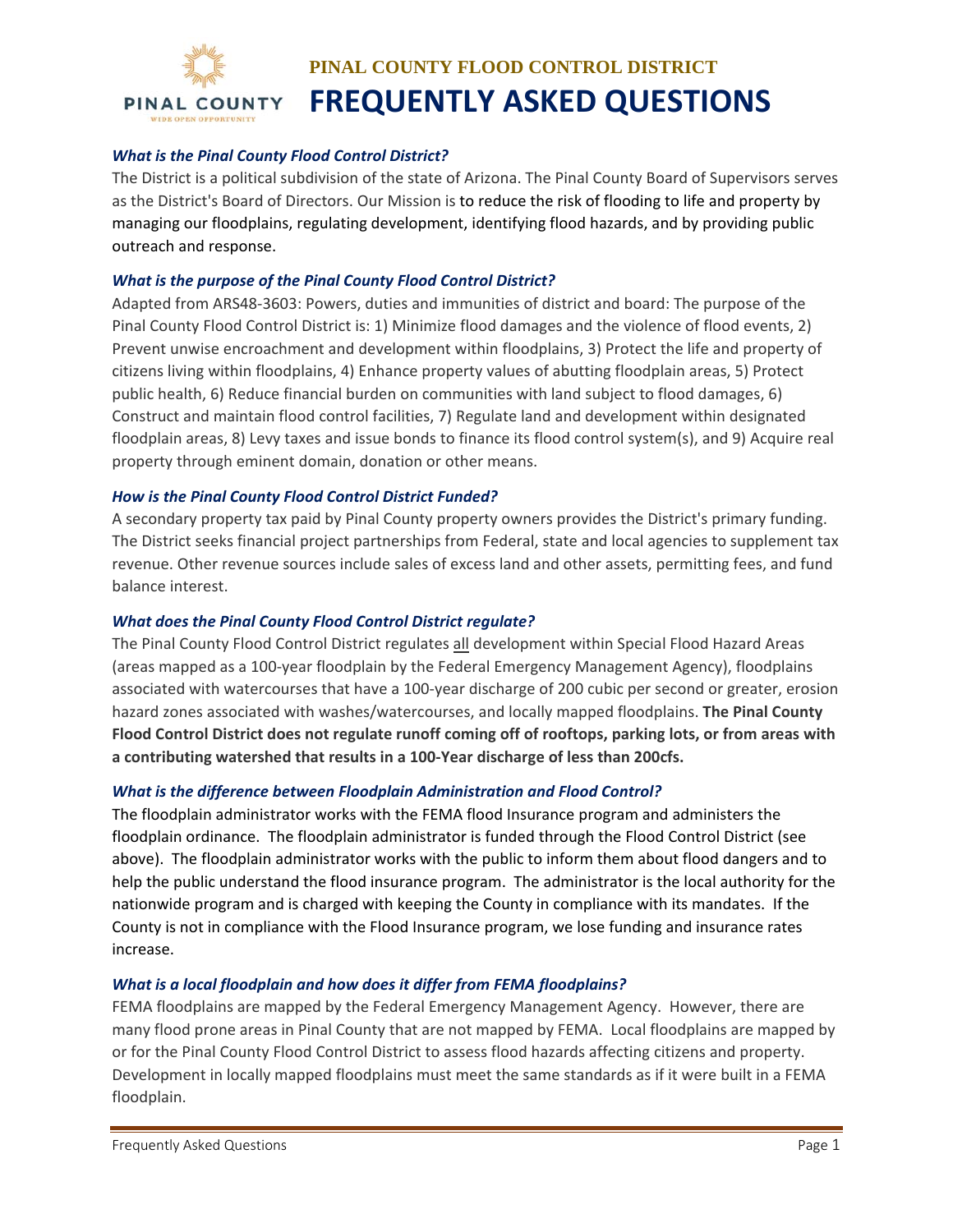

## *What is the Pinal County Flood Control District?*

The District is a political subdivision of the state of Arizona. The Pinal County Board of Supervisors serves as the District's Board of Directors. Our Mission is to reduce the risk of flooding to life and property by managing our floodplains, regulating development, identifying flood hazards, and by providing public outreach and response.

### *What is the purpose of the Pinal County Flood Control District?*

Adapted from ARS48‐3603: Powers, duties and immunities of district and board: The purpose of the Pinal County Flood Control District is: 1) Minimize flood damages and the violence of flood events, 2) Prevent unwise encroachment and development within floodplains, 3) Protect the life and property of citizens living within floodplains, 4) Enhance property values of abutting floodplain areas, 5) Protect public health, 6) Reduce financial burden on communities with land subject to flood damages, 6) Construct and maintain flood control facilities, 7) Regulate land and development within designated floodplain areas, 8) Levy taxes and issue bonds to finance its flood control system(s), and 9) Acquire real property through eminent domain, donation or other means.

### *How is the Pinal County Flood Control District Funded?*

A secondary property tax paid by Pinal County property owners provides the District's primary funding. The District seeks financial project partnerships from Federal, state and local agencies to supplement tax revenue. Other revenue sources include sales of excess land and other assets, permitting fees, and fund balance interest.

### *What does the Pinal County Flood Control District regulate?*

The Pinal County Flood Control District regulates all development within Special Flood Hazard Areas (areas mapped as a 100‐year floodplain by the Federal Emergency Management Agency), floodplains associated with watercourses that have a 100‐year discharge of 200 cubic per second or greater, erosion hazard zones associated with washes/watercourses, and locally mapped floodplains. **The Pinal County Flood Control District does not regulate runoff coming off of rooftops, parking lots, or from areas with a contributing watershed that results in a 100‐Year discharge of less than 200cfs.**

#### *What is the difference between Floodplain Administration and Flood Control?*

The floodplain administrator works with the FEMA flood Insurance program and administers the floodplain ordinance. The floodplain administrator is funded through the Flood Control District (see above). The floodplain administrator works with the public to inform them about flood dangers and to help the public understand the flood insurance program. The administrator is the local authority for the nationwide program and is charged with keeping the County in compliance with its mandates. If the County is not in compliance with the Flood Insurance program, we lose funding and insurance rates increase.

#### *What is a local floodplain and how does it differ from FEMA floodplains?*

FEMA floodplains are mapped by the Federal Emergency Management Agency. However, there are many flood prone areas in Pinal County that are not mapped by FEMA. Local floodplains are mapped by or for the Pinal County Flood Control District to assess flood hazards affecting citizens and property. Development in locally mapped floodplains must meet the same standards as if it were built in a FEMA floodplain.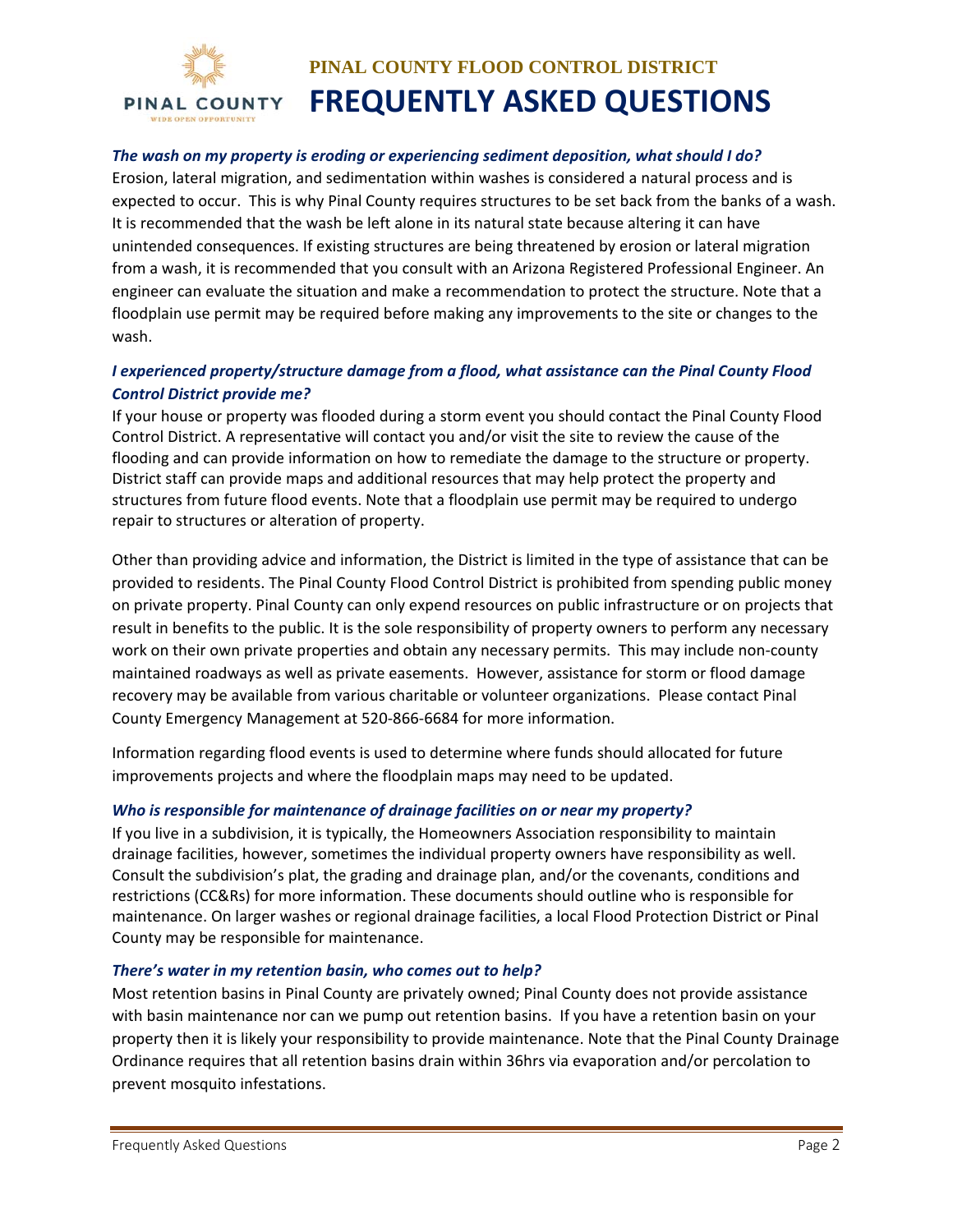

## *The wash on my property is eroding or experiencing sediment deposition, what should I do?*

Erosion, lateral migration, and sedimentation within washes is considered a natural process and is expected to occur. This is why Pinal County requires structures to be set back from the banks of a wash. It is recommended that the wash be left alone in its natural state because altering it can have unintended consequences. If existing structures are being threatened by erosion or lateral migration from a wash, it is recommended that you consult with an Arizona Registered Professional Engineer. An engineer can evaluate the situation and make a recommendation to protect the structure. Note that a floodplain use permit may be required before making any improvements to the site or changes to the wash.

# *I experienced property/structure damage from a flood, what assistance can the Pinal County Flood Control District provide me?*

If your house or property was flooded during a storm event you should contact the Pinal County Flood Control District. A representative will contact you and/or visit the site to review the cause of the flooding and can provide information on how to remediate the damage to the structure or property. District staff can provide maps and additional resources that may help protect the property and structures from future flood events. Note that a floodplain use permit may be required to undergo repair to structures or alteration of property.

Other than providing advice and information, the District is limited in the type of assistance that can be provided to residents. The Pinal County Flood Control District is prohibited from spending public money on private property. Pinal County can only expend resources on public infrastructure or on projects that result in benefits to the public. It is the sole responsibility of property owners to perform any necessary work on their own private properties and obtain any necessary permits. This may include non-county maintained roadways as well as private easements. However, assistance for storm or flood damage recovery may be available from various charitable or volunteer organizations. Please contact Pinal County Emergency Management at 520‐866‐6684 for more information.

Information regarding flood events is used to determine where funds should allocated for future improvements projects and where the floodplain maps may need to be updated.

#### *Who is responsible for maintenance of drainage facilities on or near my property?*

If you live in a subdivision, it is typically, the Homeowners Association responsibility to maintain drainage facilities, however, sometimes the individual property owners have responsibility as well. Consult the subdivision's plat, the grading and drainage plan, and/or the covenants, conditions and restrictions (CC&Rs) for more information. These documents should outline who is responsible for maintenance. On larger washes or regional drainage facilities, a local Flood Protection District or Pinal County may be responsible for maintenance.

#### *There's water in my retention basin, who comes out to help?*

Most retention basins in Pinal County are privately owned; Pinal County does not provide assistance with basin maintenance nor can we pump out retention basins. If you have a retention basin on your property then it is likely your responsibility to provide maintenance. Note that the Pinal County Drainage Ordinance requires that all retention basins drain within 36hrs via evaporation and/or percolation to prevent mosquito infestations.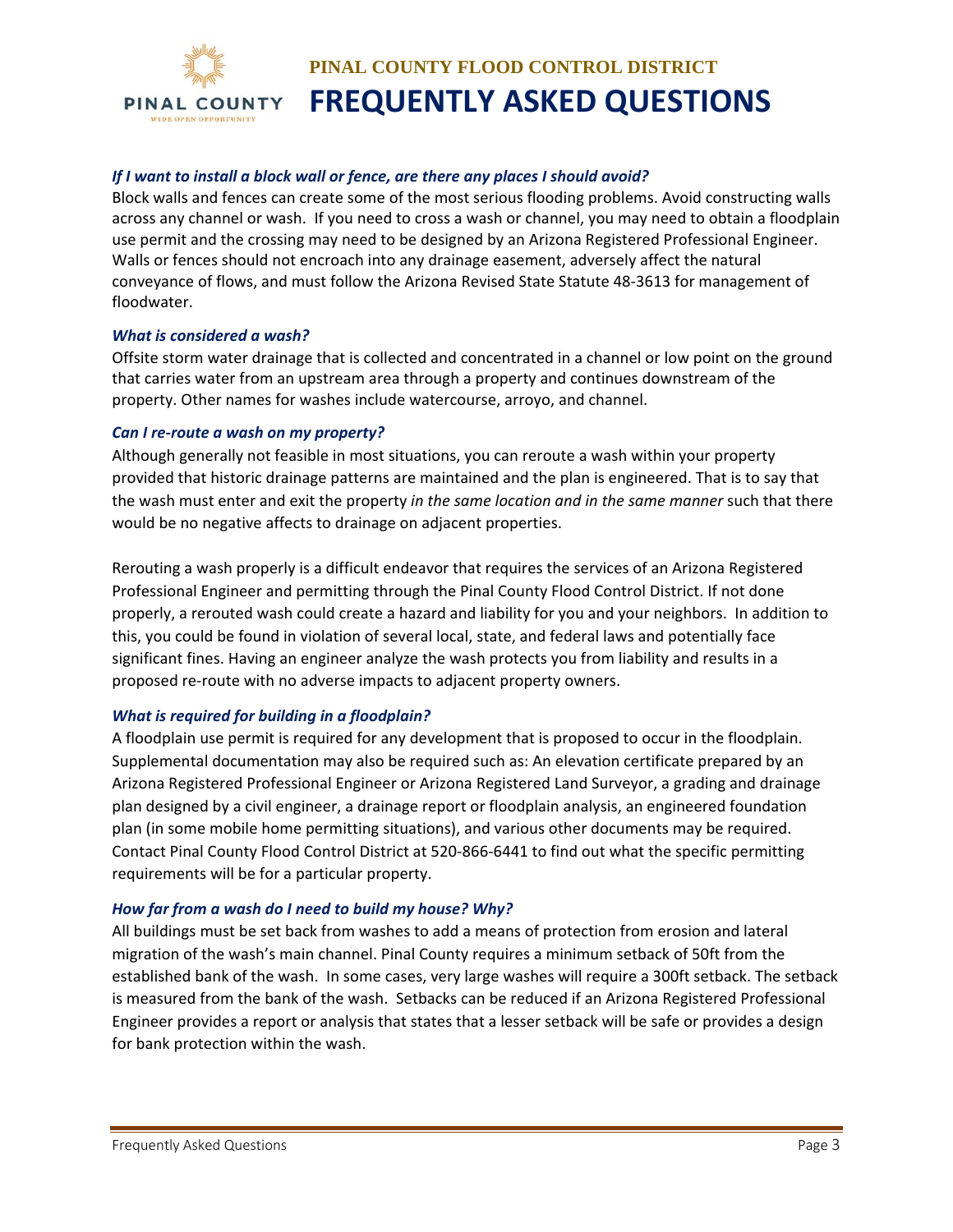

## *If I want to install a block wall or fence, are there any places I should avoid?*

Block walls and fences can create some of the most serious flooding problems. Avoid constructing walls across any channel or wash. If you need to cross a wash or channel, you may need to obtain a floodplain use permit and the crossing may need to be designed by an Arizona Registered Professional Engineer. Walls or fences should not encroach into any drainage easement, adversely affect the natural conveyance of flows, and must follow the Arizona Revised State Statute 48‐3613 for management of floodwater.

### *What is considered a wash?*

Offsite storm water drainage that is collected and concentrated in a channel or low point on the ground that carries water from an upstream area through a property and continues downstream of the property. Other names for washes include watercourse, arroyo, and channel.

### *Can I re‐route a wash on my property?*

Although generally not feasible in most situations, you can reroute a wash within your property provided that historic drainage patterns are maintained and the plan is engineered. That is to say that the wash must enter and exit the property *in the same location and in the same manner* such that there would be no negative affects to drainage on adjacent properties.

Rerouting a wash properly is a difficult endeavor that requires the services of an Arizona Registered Professional Engineer and permitting through the Pinal County Flood Control District. If not done properly, a rerouted wash could create a hazard and liability for you and your neighbors. In addition to this, you could be found in violation of several local, state, and federal laws and potentially face significant fines. Having an engineer analyze the wash protects you from liability and results in a proposed re‐route with no adverse impacts to adjacent property owners.

### *What is required for building in a floodplain?*

A floodplain use permit is required for any development that is proposed to occur in the floodplain. Supplemental documentation may also be required such as: An elevation certificate prepared by an Arizona Registered Professional Engineer or Arizona Registered Land Surveyor, a grading and drainage plan designed by a civil engineer, a drainage report or floodplain analysis, an engineered foundation plan (in some mobile home permitting situations), and various other documents may be required. Contact Pinal County Flood Control District at 520‐866‐6441 to find out what the specific permitting requirements will be for a particular property.

### *How far from a wash do I need to build my house? Why?*

All buildings must be set back from washes to add a means of protection from erosion and lateral migration of the wash's main channel. Pinal County requires a minimum setback of 50ft from the established bank of the wash. In some cases, very large washes will require a 300ft setback. The setback is measured from the bank of the wash. Setbacks can be reduced if an Arizona Registered Professional Engineer provides a report or analysis that states that a lesser setback will be safe or provides a design for bank protection within the wash.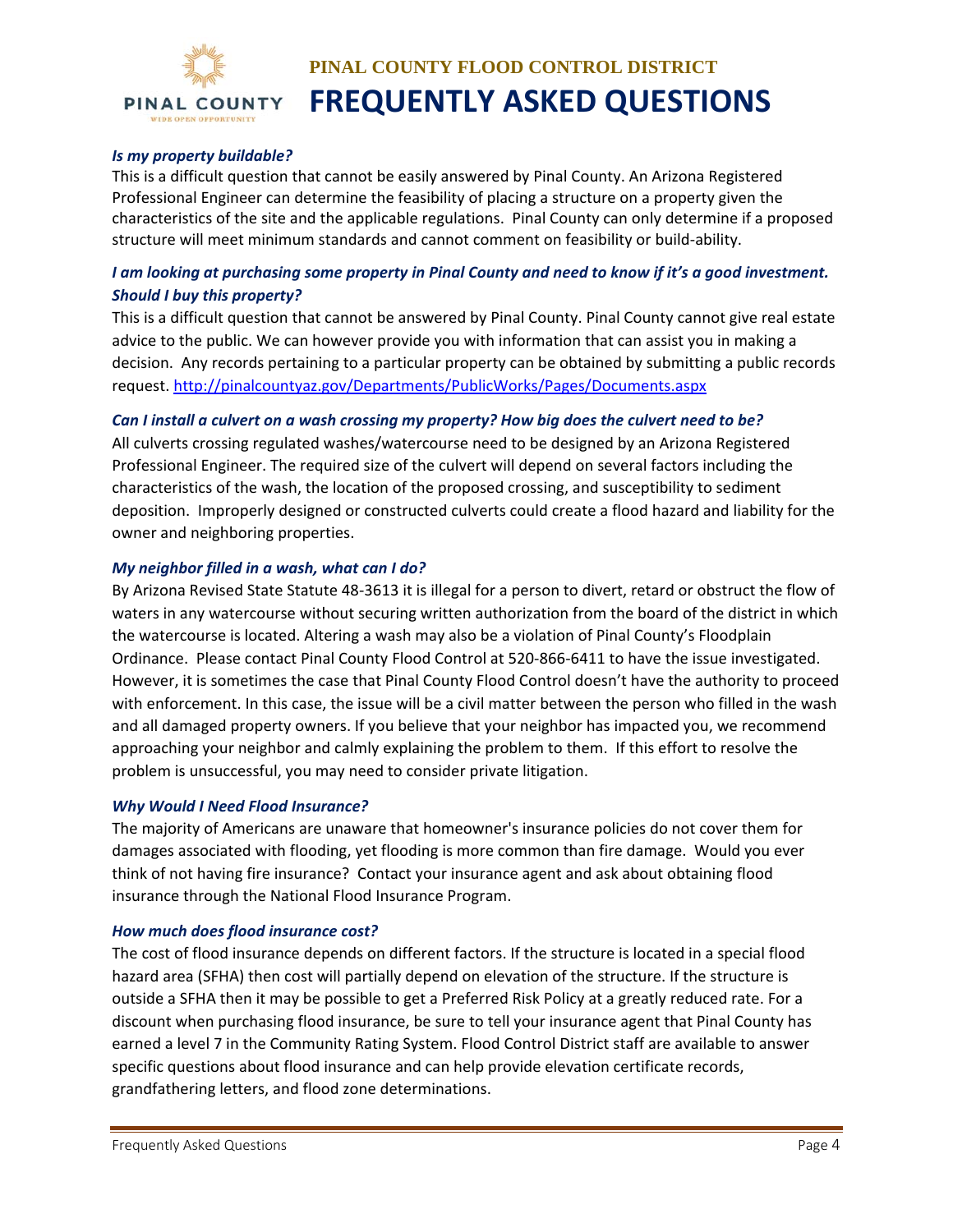

## *Is my property buildable?*

This is a difficult question that cannot be easily answered by Pinal County. An Arizona Registered Professional Engineer can determine the feasibility of placing a structure on a property given the characteristics of the site and the applicable regulations. Pinal County can only determine if a proposed structure will meet minimum standards and cannot comment on feasibility or build‐ability.

# I am looking at purchasing some property in Pinal County and need to know if it's a good investment. *Should I buy this property?*

This is a difficult question that cannot be answered by Pinal County. Pinal County cannot give real estate advice to the public. We can however provide you with information that can assist you in making a decision. Any records pertaining to a particular property can be obtained by submitting a public records request. http://pinalcountyaz.gov/Departments/PublicWorks/Pages/Documents.aspx

## Can I install a culvert on a wash crossing my property? How big does the culvert need to be?

All culverts crossing regulated washes/watercourse need to be designed by an Arizona Registered Professional Engineer. The required size of the culvert will depend on several factors including the characteristics of the wash, the location of the proposed crossing, and susceptibility to sediment deposition. Improperly designed or constructed culverts could create a flood hazard and liability for the owner and neighboring properties.

### *My neighbor filled in a wash, what can I do?*

By Arizona Revised State Statute 48‐3613 it is illegal for a person to divert, retard or obstruct the flow of waters in any watercourse without securing written authorization from the board of the district in which the watercourse is located. Altering a wash may also be a violation of Pinal County's Floodplain Ordinance. Please contact Pinal County Flood Control at 520‐866‐6411 to have the issue investigated. However, it is sometimes the case that Pinal County Flood Control doesn't have the authority to proceed with enforcement. In this case, the issue will be a civil matter between the person who filled in the wash and all damaged property owners. If you believe that your neighbor has impacted you, we recommend approaching your neighbor and calmly explaining the problem to them. If this effort to resolve the problem is unsuccessful, you may need to consider private litigation.

### *Why Would I Need Flood Insurance?*

The majority of Americans are unaware that homeowner's insurance policies do not cover them for damages associated with flooding, yet flooding is more common than fire damage. Would you ever think of not having fire insurance? Contact your insurance agent and ask about obtaining flood insurance through the National Flood Insurance Program.

### *How much does flood insurance cost?*

The cost of flood insurance depends on different factors. If the structure is located in a special flood hazard area (SFHA) then cost will partially depend on elevation of the structure. If the structure is outside a SFHA then it may be possible to get a Preferred Risk Policy at a greatly reduced rate. For a discount when purchasing flood insurance, be sure to tell your insurance agent that Pinal County has earned a level 7 in the Community Rating System. Flood Control District staff are available to answer specific questions about flood insurance and can help provide elevation certificate records, grandfathering letters, and flood zone determinations.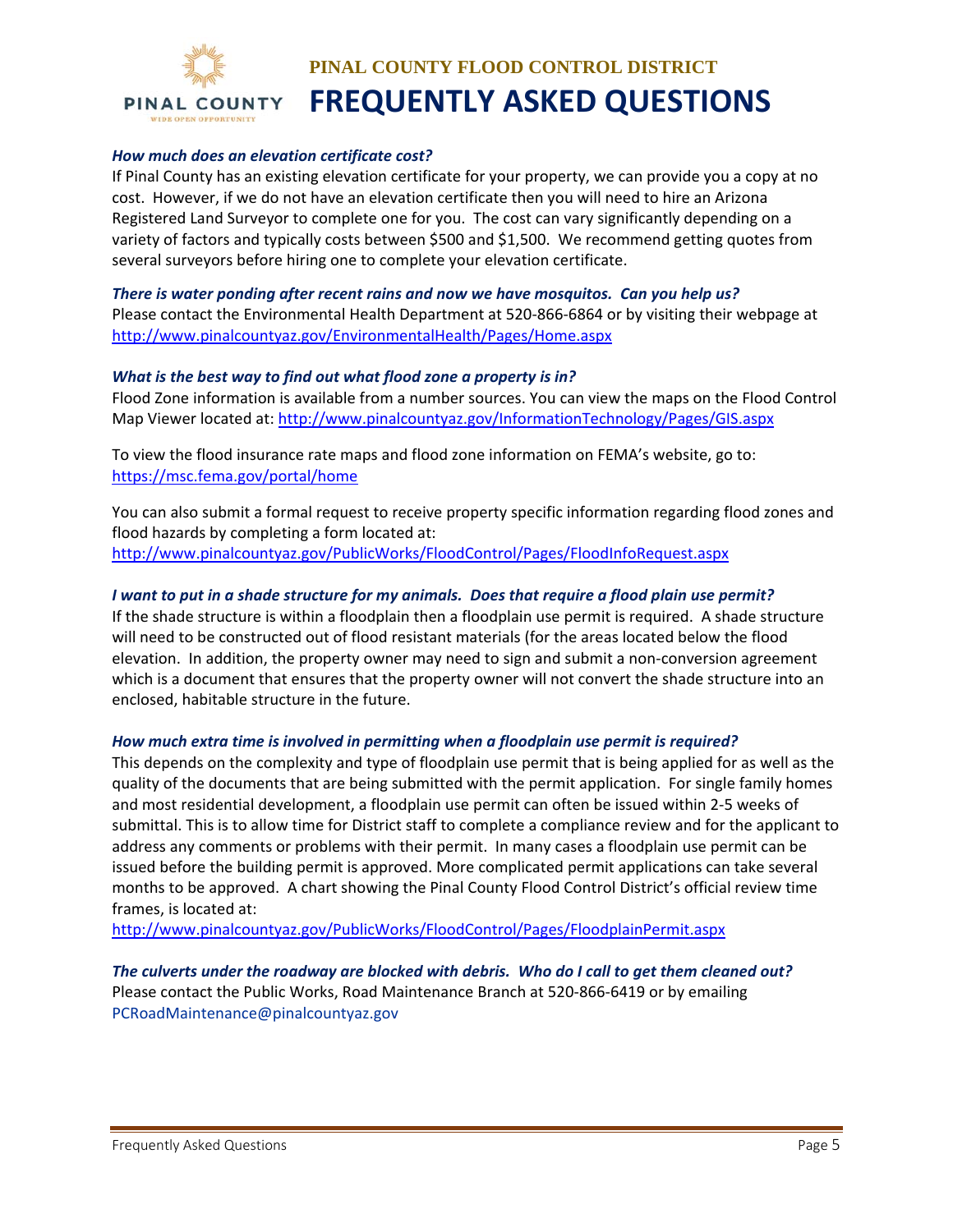

### *How much does an elevation certificate cost?*

If Pinal County has an existing elevation certificate for your property, we can provide you a copy at no cost. However, if we do not have an elevation certificate then you will need to hire an Arizona Registered Land Surveyor to complete one for you. The cost can vary significantly depending on a variety of factors and typically costs between \$500 and \$1,500. We recommend getting quotes from several surveyors before hiring one to complete your elevation certificate.

*There is water ponding after recent rains and now we have mosquitos. Can you help us?* Please contact the Environmental Health Department at 520‐866‐6864 or by visiting their webpage at http://www.pinalcountyaz.gov/EnvironmentalHealth/Pages/Home.aspx

#### *What is the best way to find out what flood zone a property is in?*

Flood Zone information is available from a number sources. You can view the maps on the Flood Control Map Viewer located at: http://www.pinalcountyaz.gov/InformationTechnology/Pages/GIS.aspx

To view the flood insurance rate maps and flood zone information on FEMA's website, go to: https://msc.fema.gov/portal/home

You can also submit a formal request to receive property specific information regarding flood zones and flood hazards by completing a form located at: http://www.pinalcountyaz.gov/PublicWorks/FloodControl/Pages/FloodInfoRequest.aspx

### I want to put in a shade structure for my animals. Does that require a flood plain use permit?

If the shade structure is within a floodplain then a floodplain use permit is required. A shade structure will need to be constructed out of flood resistant materials (for the areas located below the flood elevation. In addition, the property owner may need to sign and submit a non-conversion agreement which is a document that ensures that the property owner will not convert the shade structure into an enclosed, habitable structure in the future.

#### *How much extra time is involved in permitting when a floodplain use permit is required?*

This depends on the complexity and type of floodplain use permit that is being applied for as well as the quality of the documents that are being submitted with the permit application. For single family homes and most residential development, a floodplain use permit can often be issued within 2‐5 weeks of submittal. This is to allow time for District staff to complete a compliance review and for the applicant to address any comments or problems with their permit. In many cases a floodplain use permit can be issued before the building permit is approved. More complicated permit applications can take several months to be approved. A chart showing the Pinal County Flood Control District's official review time frames, is located at:

http://www.pinalcountyaz.gov/PublicWorks/FloodControl/Pages/FloodplainPermit.aspx

The culverts under the roadway are blocked with debris. Who do I call to get them cleaned out? Please contact the Public Works, Road Maintenance Branch at 520‐866‐6419 or by emailing PCRoadMaintenance@pinalcountyaz.gov